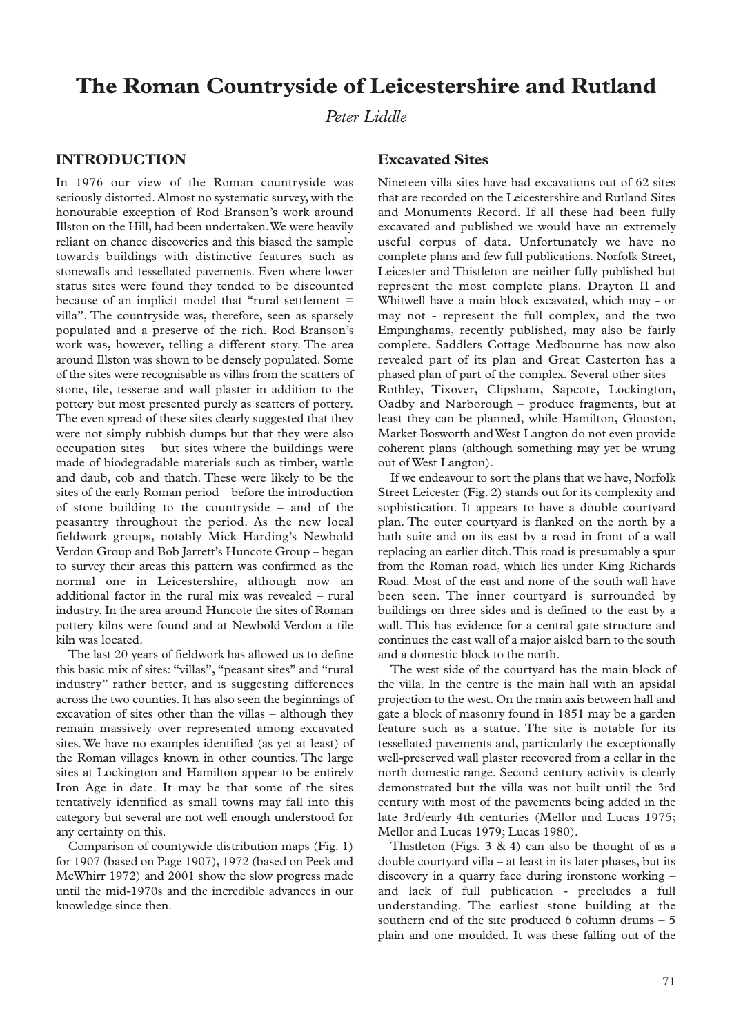# **The Roman Countryside of Leicestershire and Rutland**

*Peter Liddle*

# **INTRODUCTION**

In 1976 our view of the Roman countryside was seriously distorted. Almost no systematic survey, with the honourable exception of Rod Branson's work around Illston on the Hill, had been undertaken.We were heavily reliant on chance discoveries and this biased the sample towards buildings with distinctive features such as stonewalls and tessellated pavements. Even where lower status sites were found they tended to be discounted because of an implicit model that "rural settlement = villa". The countryside was, therefore, seen as sparsely populated and a preserve of the rich. Rod Branson's work was, however, telling a different story. The area around Illston was shown to be densely populated. Some of the sites were recognisable as villas from the scatters of stone, tile, tesserae and wall plaster in addition to the pottery but most presented purely as scatters of pottery. The even spread of these sites clearly suggested that they were not simply rubbish dumps but that they were also occupation sites – but sites where the buildings were made of biodegradable materials such as timber, wattle and daub, cob and thatch. These were likely to be the sites of the early Roman period – before the introduction of stone building to the countryside – and of the peasantry throughout the period. As the new local fieldwork groups, notably Mick Harding's Newbold Verdon Group and Bob Jarrett's Huncote Group – began to survey their areas this pattern was confirmed as the normal one in Leicestershire, although now an additional factor in the rural mix was revealed – rural industry. In the area around Huncote the sites of Roman pottery kilns were found and at Newbold Verdon a tile kiln was located.

The last 20 years of fieldwork has allowed us to define this basic mix of sites: "villas", "peasant sites" and "rural industry" rather better, and is suggesting differences across the two counties. It has also seen the beginnings of excavation of sites other than the villas – although they remain massively over represented among excavated sites. We have no examples identified (as yet at least) of the Roman villages known in other counties. The large sites at Lockington and Hamilton appear to be entirely Iron Age in date. It may be that some of the sites tentatively identified as small towns may fall into this category but several are not well enough understood for any certainty on this.

Comparison of countywide distribution maps (Fig. 1) for 1907 (based on Page 1907), 1972 (based on Peek and McWhirr 1972) and 2001 show the slow progress made until the mid-1970s and the incredible advances in our knowledge since then.

# **Excavated Sites**

Nineteen villa sites have had excavations out of 62 sites that are recorded on the Leicestershire and Rutland Sites and Monuments Record. If all these had been fully excavated and published we would have an extremely useful corpus of data. Unfortunately we have no complete plans and few full publications. Norfolk Street, Leicester and Thistleton are neither fully published but represent the most complete plans. Drayton II and Whitwell have a main block excavated, which may - or may not - represent the full complex, and the two Empinghams, recently published, may also be fairly complete. Saddlers Cottage Medbourne has now also revealed part of its plan and Great Casterton has a phased plan of part of the complex. Several other sites – Rothley, Tixover, Clipsham, Sapcote, Lockington, Oadby and Narborough – produce fragments, but at least they can be planned, while Hamilton, Glooston, Market Bosworth and West Langton do not even provide coherent plans (although something may yet be wrung out of West Langton).

If we endeavour to sort the plans that we have, Norfolk Street Leicester (Fig. 2) stands out for its complexity and sophistication. It appears to have a double courtyard plan. The outer courtyard is flanked on the north by a bath suite and on its east by a road in front of a wall replacing an earlier ditch.This road is presumably a spur from the Roman road, which lies under King Richards Road. Most of the east and none of the south wall have been seen. The inner courtyard is surrounded by buildings on three sides and is defined to the east by a wall. This has evidence for a central gate structure and continues the east wall of a major aisled barn to the south and a domestic block to the north.

The west side of the courtyard has the main block of the villa. In the centre is the main hall with an apsidal projection to the west. On the main axis between hall and gate a block of masonry found in 1851 may be a garden feature such as a statue. The site is notable for its tessellated pavements and, particularly the exceptionally well-preserved wall plaster recovered from a cellar in the north domestic range. Second century activity is clearly demonstrated but the villa was not built until the 3rd century with most of the pavements being added in the late 3rd/early 4th centuries (Mellor and Lucas 1975; Mellor and Lucas 1979; Lucas 1980).

Thistleton (Figs.  $3 \& 4$ ) can also be thought of as a double courtyard villa – at least in its later phases, but its discovery in a quarry face during ironstone working – and lack of full publication - precludes a full understanding. The earliest stone building at the southern end of the site produced 6 column drums – 5 plain and one moulded. It was these falling out of the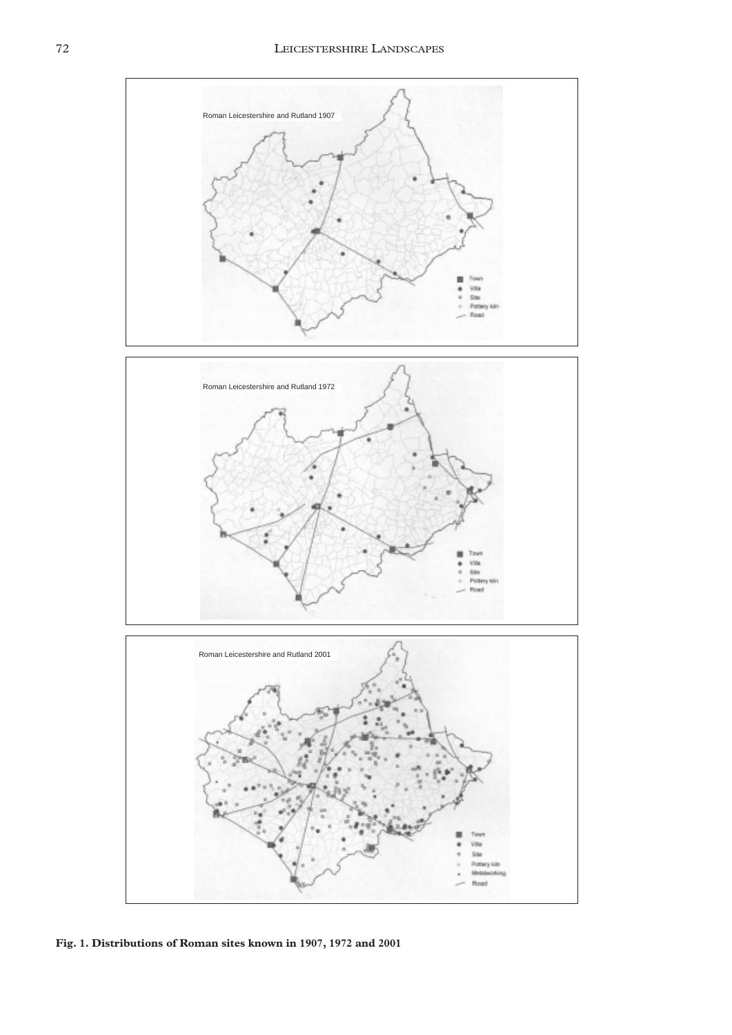

**Fig. 1. Distributions of Roman sites known in 1907, 1972 and 2001**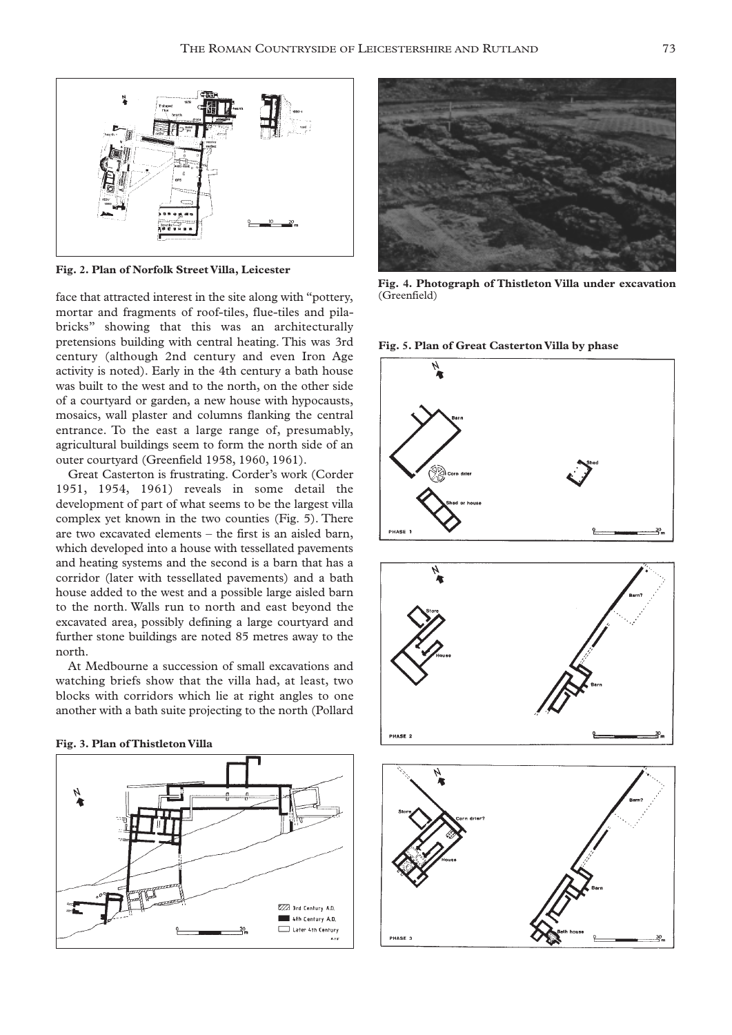

**Fig. 2. Plan of Norfolk Street Villa, Leicester**

face that attracted interest in the site along with "pottery, mortar and fragments of roof-tiles, flue-tiles and pilabricks" showing that this was an architecturally pretensions building with central heating. This was 3rd century (although 2nd century and even Iron Age activity is noted). Early in the 4th century a bath house was built to the west and to the north, on the other side of a courtyard or garden, a new house with hypocausts, mosaics, wall plaster and columns flanking the central entrance. To the east a large range of, presumably, agricultural buildings seem to form the north side of an outer courtyard (Greenfield 1958, 1960, 1961).

Great Casterton is frustrating. Corder's work (Corder 1951, 1954, 1961) reveals in some detail the development of part of what seems to be the largest villa complex yet known in the two counties (Fig. 5). There are two excavated elements – the first is an aisled barn, which developed into a house with tessellated pavements and heating systems and the second is a barn that has a corridor (later with tessellated pavements) and a bath house added to the west and a possible large aisled barn to the north. Walls run to north and east beyond the excavated area, possibly defining a large courtyard and further stone buildings are noted 85 metres away to the north.

At Medbourne a succession of small excavations and watching briefs show that the villa had, at least, two blocks with corridors which lie at right angles to one another with a bath suite projecting to the north (Pollard







**Fig. 4. Photograph of Thistleton Villa under excavation** (Greenfield)



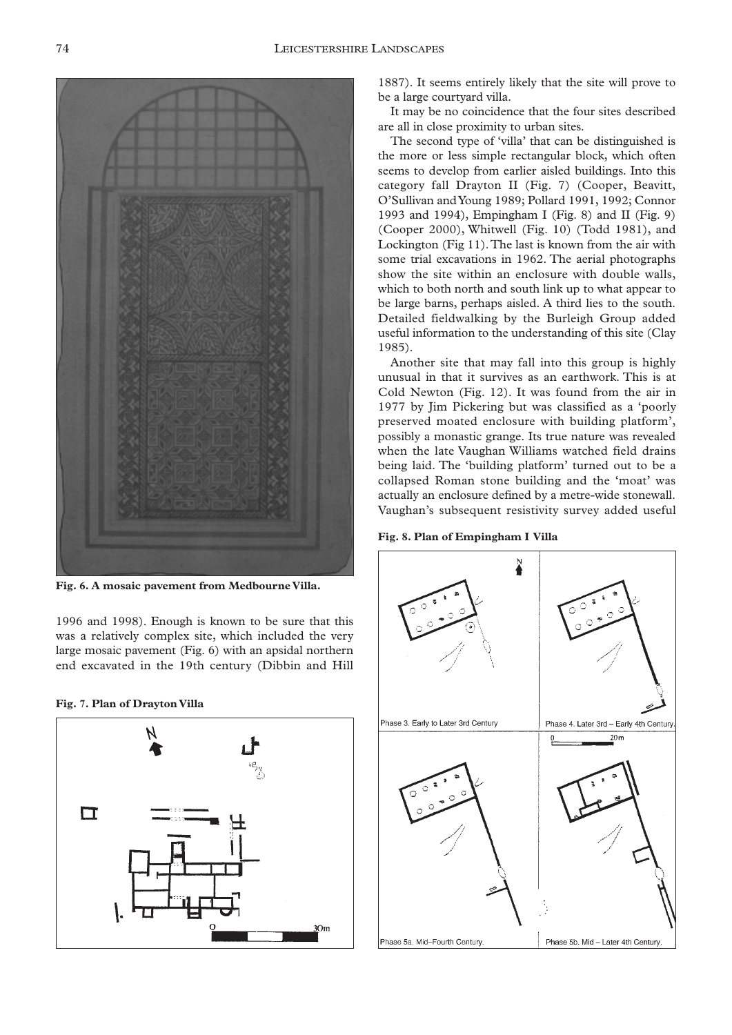

**Fig. 6. A mosaic pavement from Medbourne Villa.**

1996 and 1998). Enough is known to be sure that this was a relatively complex site, which included the very large mosaic pavement (Fig. 6) with an apsidal northern end excavated in the 19th century (Dibbin and Hill

#### **Fig. 7. Plan of Drayton Villa**



1887). It seems entirely likely that the site will prove to be a large courtyard villa.

It may be no coincidence that the four sites described are all in close proximity to urban sites.

The second type of 'villa' that can be distinguished is the more or less simple rectangular block, which often seems to develop from earlier aisled buildings. Into this category fall Drayton II (Fig. 7) (Cooper, Beavitt, O'Sullivan and Young 1989; Pollard 1991, 1992; Connor 1993 and 1994), Empingham I (Fig. 8) and II (Fig. 9) (Cooper 2000), Whitwell (Fig. 10) (Todd 1981), and Lockington (Fig 11).The last is known from the air with some trial excavations in 1962. The aerial photographs show the site within an enclosure with double walls, which to both north and south link up to what appear to be large barns, perhaps aisled. A third lies to the south. Detailed fieldwalking by the Burleigh Group added useful information to the understanding of this site (Clay 1985).

Another site that may fall into this group is highly unusual in that it survives as an earthwork. This is at Cold Newton (Fig. 12). It was found from the air in 1977 by Jim Pickering but was classified as a 'poorly preserved moated enclosure with building platform', possibly a monastic grange. Its true nature was revealed when the late Vaughan Williams watched field drains being laid. The 'building platform' turned out to be a collapsed Roman stone building and the 'moat' was actually an enclosure defined by a metre-wide stonewall. Vaughan's subsequent resistivity survey added useful



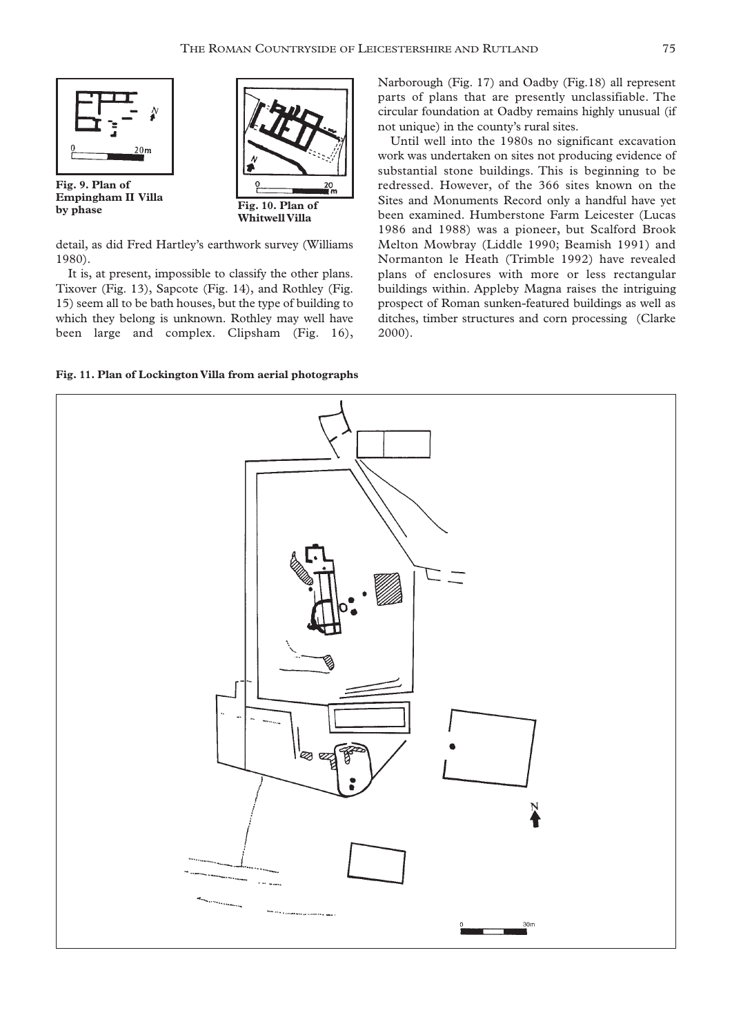

**Fig. 9. Plan of Empingham II Villa by phase Fig. 10. Plan of** 



detail, as did Fred Hartley's earthwork survey (Williams 1980).

It is, at present, impossible to classify the other plans. Tixover (Fig. 13), Sapcote (Fig. 14), and Rothley (Fig. 15) seem all to be bath houses, but the type of building to which they belong is unknown. Rothley may well have been large and complex. Clipsham (Fig. 16),

**Fig. 11. Plan of Lockington Villa from aerial photographs**

Narborough (Fig. 17) and Oadby (Fig.18) all represent parts of plans that are presently unclassifiable. The circular foundation at Oadby remains highly unusual (if not unique) in the county's rural sites.

Until well into the 1980s no significant excavation work was undertaken on sites not producing evidence of substantial stone buildings. This is beginning to be redressed. However, of the 366 sites known on the Sites and Monuments Record only a handful have yet been examined. Humberstone Farm Leicester (Lucas 1986 and 1988) was a pioneer, but Scalford Brook Melton Mowbray (Liddle 1990; Beamish 1991) and Normanton le Heath (Trimble 1992) have revealed plans of enclosures with more or less rectangular buildings within. Appleby Magna raises the intriguing prospect of Roman sunken-featured buildings as well as ditches, timber structures and corn processing (Clarke 2000).

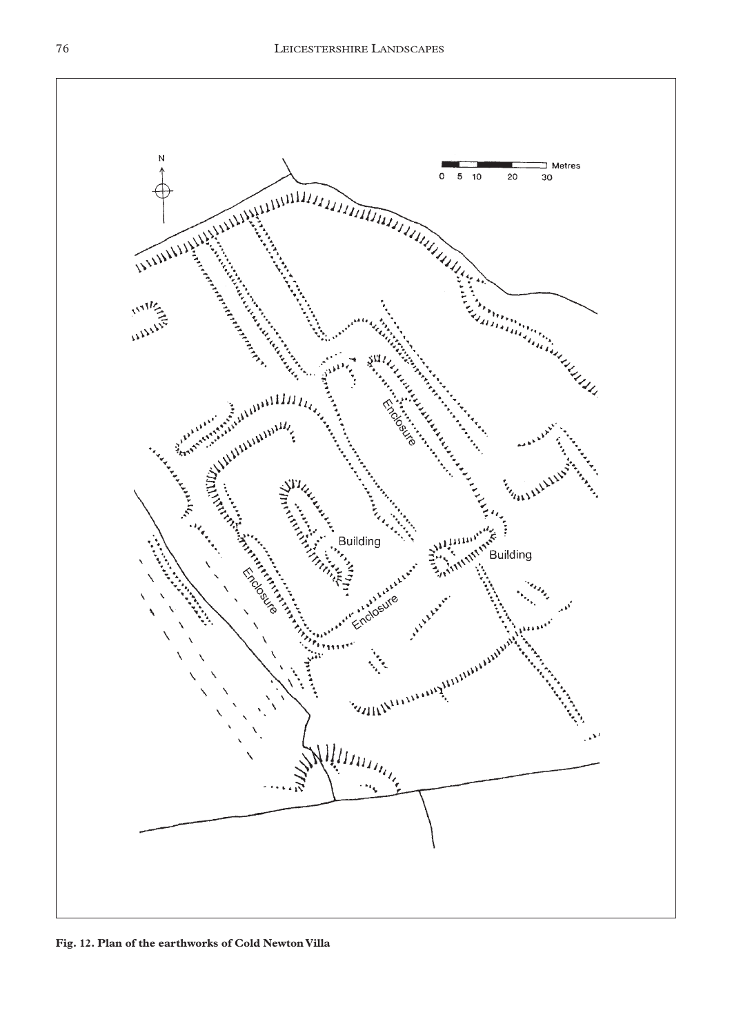

**Fig. 12. Plan of the earthworks of Cold Newton Villa**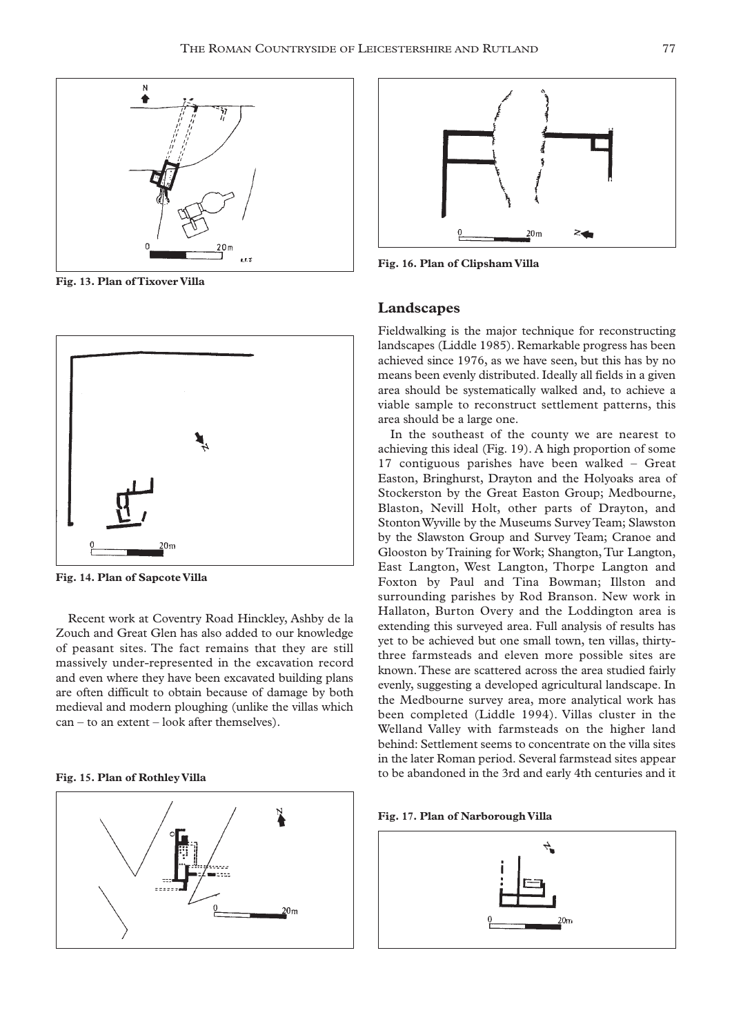

**Fig. 13. Plan of Tixover Villa**



**Fig. 14. Plan of Sapcote Villa**

Recent work at Coventry Road Hinckley, Ashby de la Zouch and Great Glen has also added to our knowledge of peasant sites. The fact remains that they are still massively under-represented in the excavation record and even where they have been excavated building plans are often difficult to obtain because of damage by both medieval and modern ploughing (unlike the villas which can – to an extent – look after themselves).

#### **Fig. 15. Plan of Rothley Villa**





**Fig. 16. Plan of Clipsham Villa**

## **Landscapes**

Fieldwalking is the major technique for reconstructing landscapes (Liddle 1985). Remarkable progress has been achieved since 1976, as we have seen, but this has by no means been evenly distributed. Ideally all fields in a given area should be systematically walked and, to achieve a viable sample to reconstruct settlement patterns, this area should be a large one.

In the southeast of the county we are nearest to achieving this ideal (Fig. 19). A high proportion of some 17 contiguous parishes have been walked – Great Easton, Bringhurst, Drayton and the Holyoaks area of Stockerston by the Great Easton Group; Medbourne, Blaston, Nevill Holt, other parts of Drayton, and Stonton Wyville by the Museums Survey Team; Slawston by the Slawston Group and Survey Team; Cranoe and Glooston by Training for Work; Shangton, Tur Langton, East Langton, West Langton, Thorpe Langton and Foxton by Paul and Tina Bowman; Illston and surrounding parishes by Rod Branson. New work in Hallaton, Burton Overy and the Loddington area is extending this surveyed area. Full analysis of results has yet to be achieved but one small town, ten villas, thirtythree farmsteads and eleven more possible sites are known.These are scattered across the area studied fairly evenly, suggesting a developed agricultural landscape. In the Medbourne survey area, more analytical work has been completed (Liddle 1994). Villas cluster in the Welland Valley with farmsteads on the higher land behind: Settlement seems to concentrate on the villa sites in the later Roman period. Several farmstead sites appear to be abandoned in the 3rd and early 4th centuries and it

**Fig. 17. Plan of Narborough Villa**

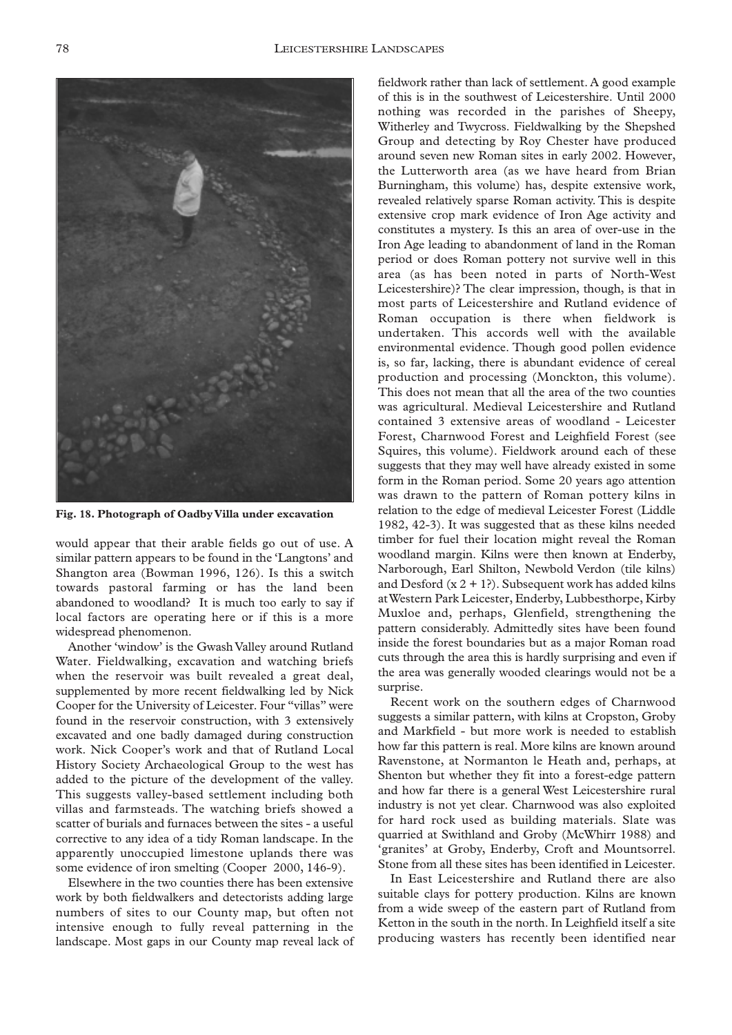

**Fig. 18. Photograph of Oadby Villa under excavation**

would appear that their arable fields go out of use. A similar pattern appears to be found in the 'Langtons' and Shangton area (Bowman 1996, 126). Is this a switch towards pastoral farming or has the land been abandoned to woodland? It is much too early to say if local factors are operating here or if this is a more widespread phenomenon.

Another 'window' is the Gwash Valley around Rutland Water. Fieldwalking, excavation and watching briefs when the reservoir was built revealed a great deal, supplemented by more recent fieldwalking led by Nick Cooper for the University of Leicester. Four "villas" were found in the reservoir construction, with 3 extensively excavated and one badly damaged during construction work. Nick Cooper's work and that of Rutland Local History Society Archaeological Group to the west has added to the picture of the development of the valley. This suggests valley-based settlement including both villas and farmsteads. The watching briefs showed a scatter of burials and furnaces between the sites - a useful corrective to any idea of a tidy Roman landscape. In the apparently unoccupied limestone uplands there was some evidence of iron smelting (Cooper 2000, 146-9).

Elsewhere in the two counties there has been extensive work by both fieldwalkers and detectorists adding large numbers of sites to our County map, but often not intensive enough to fully reveal patterning in the landscape. Most gaps in our County map reveal lack of fieldwork rather than lack of settlement. A good example of this is in the southwest of Leicestershire. Until 2000 nothing was recorded in the parishes of Sheepy, Witherley and Twycross. Fieldwalking by the Shepshed Group and detecting by Roy Chester have produced around seven new Roman sites in early 2002. However, the Lutterworth area (as we have heard from Brian Burningham, this volume) has, despite extensive work, revealed relatively sparse Roman activity. This is despite extensive crop mark evidence of Iron Age activity and constitutes a mystery. Is this an area of over-use in the Iron Age leading to abandonment of land in the Roman period or does Roman pottery not survive well in this area (as has been noted in parts of North-West Leicestershire)? The clear impression, though, is that in most parts of Leicestershire and Rutland evidence of Roman occupation is there when fieldwork is undertaken. This accords well with the available environmental evidence. Though good pollen evidence is, so far, lacking, there is abundant evidence of cereal production and processing (Monckton, this volume). This does not mean that all the area of the two counties was agricultural. Medieval Leicestershire and Rutland contained 3 extensive areas of woodland - Leicester Forest, Charnwood Forest and Leighfield Forest (see Squires, this volume). Fieldwork around each of these suggests that they may well have already existed in some form in the Roman period. Some 20 years ago attention was drawn to the pattern of Roman pottery kilns in relation to the edge of medieval Leicester Forest (Liddle 1982, 42-3). It was suggested that as these kilns needed timber for fuel their location might reveal the Roman woodland margin. Kilns were then known at Enderby, Narborough, Earl Shilton, Newbold Verdon (tile kilns) and Desford  $(x 2 + 1)$ . Subsequent work has added kilns at Western Park Leicester, Enderby, Lubbesthorpe, Kirby Muxloe and, perhaps, Glenfield, strengthening the pattern considerably. Admittedly sites have been found inside the forest boundaries but as a major Roman road cuts through the area this is hardly surprising and even if the area was generally wooded clearings would not be a surprise.

Recent work on the southern edges of Charnwood suggests a similar pattern, with kilns at Cropston, Groby and Markfield - but more work is needed to establish how far this pattern is real. More kilns are known around Ravenstone, at Normanton le Heath and, perhaps, at Shenton but whether they fit into a forest-edge pattern and how far there is a general West Leicestershire rural industry is not yet clear. Charnwood was also exploited for hard rock used as building materials. Slate was quarried at Swithland and Groby (McWhirr 1988) and 'granites' at Groby, Enderby, Croft and Mountsorrel. Stone from all these sites has been identified in Leicester.

In East Leicestershire and Rutland there are also suitable clays for pottery production. Kilns are known from a wide sweep of the eastern part of Rutland from Ketton in the south in the north. In Leighfield itself a site producing wasters has recently been identified near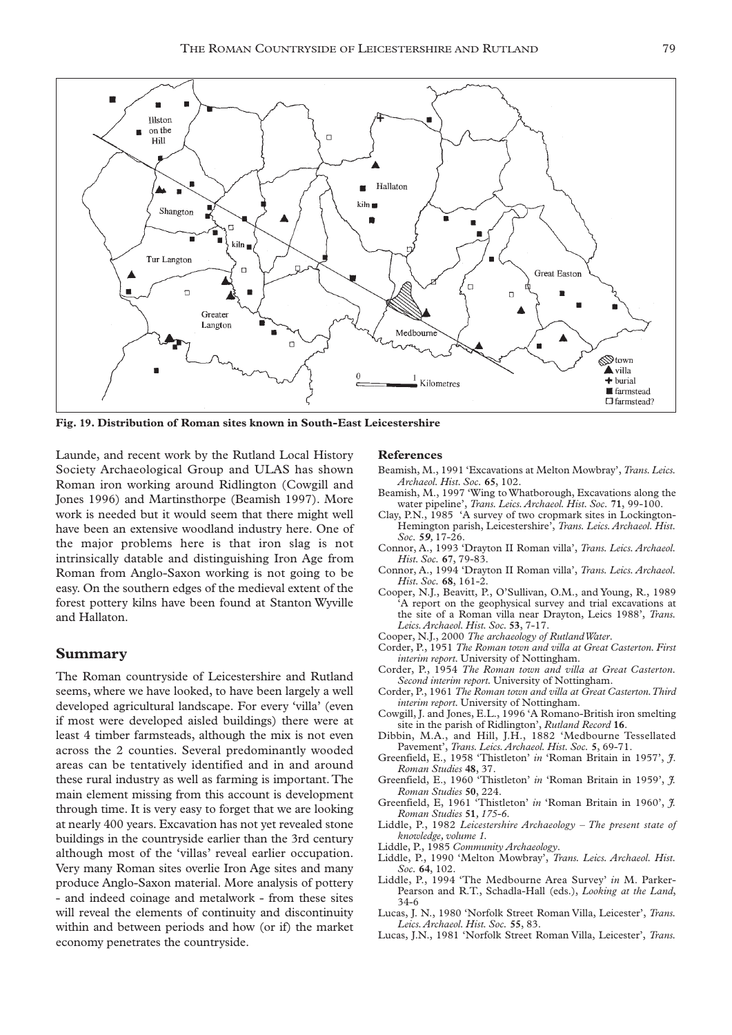

**Fig. 19. Distribution of Roman sites known in South-East Leicestershire**

Launde, and recent work by the Rutland Local History Society Archaeological Group and ULAS has shown Roman iron working around Ridlington (Cowgill and Jones 1996) and Martinsthorpe (Beamish 1997). More work is needed but it would seem that there might well have been an extensive woodland industry here. One of the major problems here is that iron slag is not intrinsically datable and distinguishing Iron Age from Roman from Anglo-Saxon working is not going to be easy. On the southern edges of the medieval extent of the forest pottery kilns have been found at Stanton Wyville and Hallaton.

## **Summary**

The Roman countryside of Leicestershire and Rutland seems, where we have looked, to have been largely a well developed agricultural landscape. For every 'villa' (even if most were developed aisled buildings) there were at least 4 timber farmsteads, although the mix is not even across the 2 counties. Several predominantly wooded areas can be tentatively identified and in and around these rural industry as well as farming is important.The main element missing from this account is development through time. It is very easy to forget that we are looking at nearly 400 years. Excavation has not yet revealed stone buildings in the countryside earlier than the 3rd century although most of the 'villas' reveal earlier occupation. Very many Roman sites overlie Iron Age sites and many produce Anglo-Saxon material. More analysis of pottery - and indeed coinage and metalwork - from these sites will reveal the elements of continuity and discontinuity within and between periods and how (or if) the market economy penetrates the countryside.

## **References**

- Beamish, M., 1991 'Excavations at Melton Mowbray', *Trans.Leics. Archaeol. Hist. Soc.* **65**, 102.
- Beamish, M., 1997 'Wing to Whatborough, Excavations along the water pipeline', *Trans. Leics.Archaeol. Hist. Soc.* **71**, 99-100.
- Clay, P.N., 1985 'A survey of two cropmark sites in Lockington-Hemington parish, Leicestershire', *Trans. Leics. Archaeol. Hist. Soc.* **5***9,* 17-26.
- Connor, A., 1993 'Drayton II Roman villa', *Trans. Leics. Archaeol. Hist. Soc.* **67**, 79-83.
- Connor, A., 1994 'Drayton II Roman villa', *Trans. Leics. Archaeol. Hist. Soc.* **68**, 161-2.
- Cooper, N.J., Beavitt, P., O'Sullivan, O.M., and Young, R., 1989 A report on the geophysical survey and trial excavations at the site of a Roman villa near Drayton, Leics 1988', *Trans. Leics.Archaeol. Hist. Soc.* **53**, 7-17.
- Cooper, N.J., 2000 *The archaeology of Rutland Water*.
- Corder, P., 1951 *The Roman town and villa at Great Casterton. First interim report.* University of Nottingham.
- Corder, P., 1954 *The Roman town and villa at Great Casterton. Second interim report.* University of Nottingham.
- Corder, P., 1961 *The Roman town and villa at Great Casterton.Third interim report.* University of Nottingham.
- Cowgill, J. and Jones, E.L., 1996 'A Romano-British iron smelting site in the parish of Ridlington', *Rutland Record* **16**.
- Dibbin, M.A., and Hill, J.H., 1882 'Medbourne Tessellated Pavement', *Trans. Leics.Archaeol. Hist. Soc.* **5**, 69-71.
- Greenfield, E., 1958 'Thistleton' *in* 'Roman Britain in 1957', *J*. *Roman Studies* **48**, 37.
- Greenfield, E., 1960 'Thistleton' *in* 'Roman Britain in 1959', *J. Roman Studies* **50**, 224.
- Greenfield, E, 1961 'Thistleton' *in* 'Roman Britain in 1960', *J. Roman Studies* **51***, 175-6*.
- Liddle, P., 1982 *Leicestershire Archaeology The present state of knowledge, volume 1.*
- Liddle, P., 1985 *Community Archaeology*.
- Liddle, P., 1990 'Melton Mowbray', *Trans. Leics. Archaeol. Hist. Soc.* **64**, 102.
- Liddle, P., 1994 'The Medbourne Area Survey' *in* M. Parker-Pearson and R.T., Schadla-Hall (eds.), *Looking at the Land*, 34-6
- Lucas, J. N., 1980 'Norfolk Street Roman Villa, Leicester', *Trans. Leics.Archaeol. Hist. Soc.* **55**, 83.
- Lucas, J.N., 1981 'Norfolk Street Roman Villa, Leicester', *Trans.*